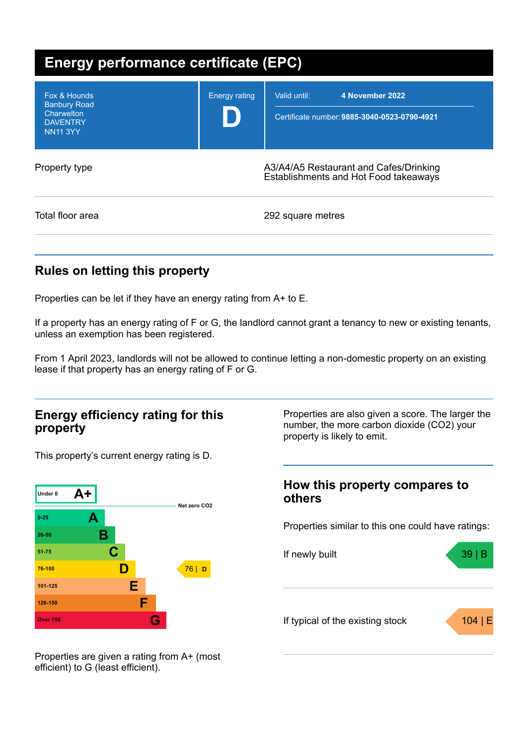| Energy performance certificate (EPC)                                                    |                      |                                                                                 |  |  |
|-----------------------------------------------------------------------------------------|----------------------|---------------------------------------------------------------------------------|--|--|
| Fox & Hounds<br><b>Banbury Road</b><br>Charwelton<br><b>DAVENTRY</b><br><b>NN11 3YY</b> | <b>Energy rating</b> | Valid until:<br>4 November 2022<br>Certificate number: 9885-3040-0523-0790-4921 |  |  |
| Property type                                                                           |                      | A3/A4/A5 Restaurant and Cafes/Drinking<br>Establishments and Hot Food takeaways |  |  |
| Total floor area                                                                        |                      | 292 square metres                                                               |  |  |

## **Rules on letting this property**

Properties can be let if they have an energy rating from A+ to E.

If a property has an energy rating of F or G, the landlord cannot grant a tenancy to new or existing tenants, unless an exemption has been registered.

From 1 April 2023, landlords will not be allowed to continue letting a non-domestic property on an existing lease if that property has an energy rating of F or G.

### **Energy efficiency rating for this property**

This property's current energy rating is D.



Properties are also given a score. The larger the number, the more carbon dioxide (CO2) your property is likely to emit.

### **How this property compares to others**

Properties similar to this one could have ratings:



Properties are given a rating from A+ (most efficient) to G (least efficient).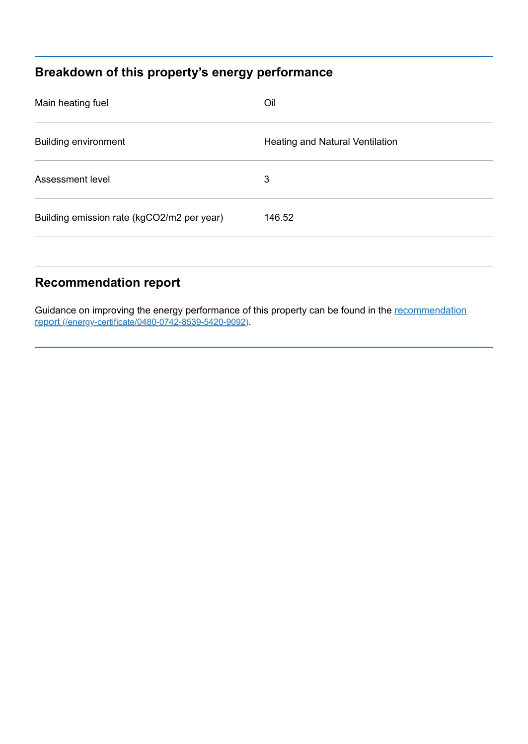# **Breakdown of this property's energy performance**

| Main heating fuel                          | Oil                                    |
|--------------------------------------------|----------------------------------------|
| <b>Building environment</b>                | <b>Heating and Natural Ventilation</b> |
| Assessment level                           | 3                                      |
| Building emission rate (kgCO2/m2 per year) | 146.52                                 |
|                                            |                                        |

## **Recommendation report**

Guidance on improving the energy performance of this property can be found in the recommendation report [\(/energy-certificate/0480-0742-8539-5420-9092\)](https://find-energy-certificate.service.gov.uk/energy-certificate/0480-0742-8539-5420-9092).